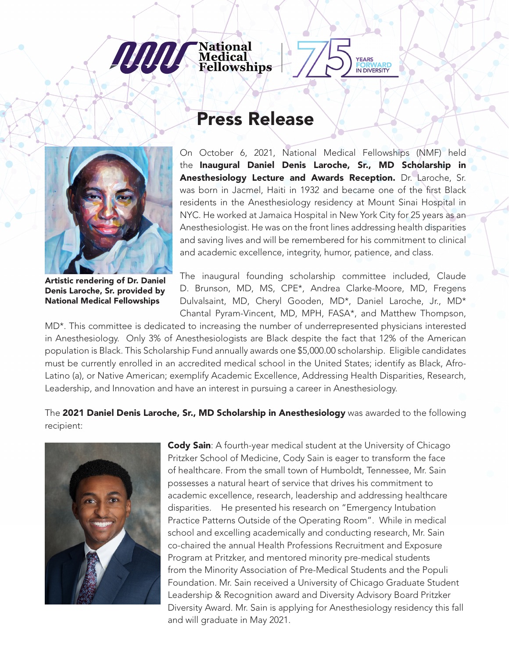## Press Release

**National<br>Medical<br>Fellowships** 



**JULIUS** 

Artistic rendering of Dr. Daniel Denis Laroche, Sr. provided by National Medical Fellowships

On October 6, 2021, National Medical Fellowships (NMF) held the Inaugural Daniel Denis Laroche, Sr., MD Scholarship in Anesthesiology Lecture and Awards Reception. Dr. Laroche, Sr. was born in Jacmel, Haiti in 1932 and became one of the first Black residents in the Anesthesiology residency at Mount Sinai Hospital in NYC. He worked at Jamaica Hospital in New York City for 25 years as an Anesthesiologist. He was on the front lines addressing health disparities and saving lives and will be remembered for his commitment to clinical and academic excellence, integrity, humor, patience, and class.

**EARS FORWARD**<br>IN DIVERSITY

The inaugural founding scholarship committee included, Claude D. Brunson, MD, MS, CPE\*, Andrea Clarke-Moore, MD, Fregens Dulvalsaint, MD, Cheryl Gooden, MD\*, Daniel Laroche, Jr., MD\* Chantal Pyram-Vincent, MD, MPH, FASA\*, and Matthew Thompson,

MD\*. This committee is dedicated to increasing the number of underrepresented physicians interested in Anesthesiology. Only 3% of Anesthesiologists are Black despite the fact that 12% of the American population is Black. This Scholarship Fund annually awards one \$5,000.00 scholarship. Eligible candidates must be currently enrolled in an accredited medical school in the United States; identify as Black, Afro-Latino (a), or Native American; exemplify Academic Excellence, Addressing Health Disparities, Research, Leadership, and Innovation and have an interest in pursuing a career in Anesthesiology.

The 2021 Daniel Denis Laroche, Sr., MD Scholarship in Anesthesiology was awarded to the following recipient:



**Cody Sain**: A fourth-year medical student at the University of Chicago Pritzker School of Medicine, Cody Sain is eager to transform the face of healthcare. From the small town of Humboldt, Tennessee, Mr. Sain possesses a natural heart of service that drives his commitment to academic excellence, research, leadership and addressing healthcare disparities. He presented his research on "Emergency Intubation Practice Patterns Outside of the Operating Room". While in medical school and excelling academically and conducting research, Mr. Sain co-chaired the annual Health Professions Recruitment and Exposure Program at Pritzker, and mentored minority pre-medical students from the Minority Association of Pre-Medical Students and the Populi Foundation. Mr. Sain received a University of Chicago Graduate Student Leadership & Recognition award and Diversity Advisory Board Pritzker Diversity Award. Mr. Sain is applying for Anesthesiology residency this fall and will graduate in May 2021.